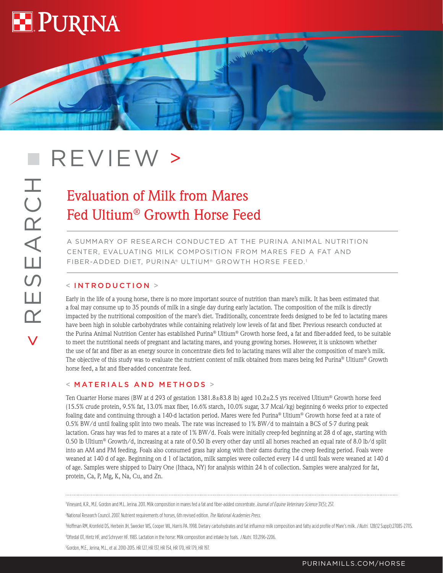

# REVIEW >

## Evaluation of Milk from Mares Fed Ultium® Growth Horse Feed

A SUMMARY OF RESEARCH CONDUCTED AT THE PURINA ANIMAL NUTRITION CENTER, EVALUATING MILK COMPOSITION FROM MARES FED A FAT AND FIBER-ADDED DIET, PURINA® ULTIUM® GROWTH HORSE FEED.1

**CALLE** 

### < INTRODUCTION >

Early in the life of a young horse, there is no more important source of nutrition than mare's milk. It has been estimated that a foal may consume up to 35 pounds of milk in a single day during early lactation. The composition of the milk is directly impacted by the nutritional composition of the mare's diet. Traditionally, concentrate feeds designed to be fed to lactating mares have been high in soluble carbohydrates while containing relatively low levels of fat and fiber. Previous research conducted at the Purina Animal Nutrition Center has established Purina® Ultium® Growth horse feed, a fat and fiber-added feed, to be suitable to meet the nutritional needs of pregnant and lactating mares, and young growing horses. However, it is unknown whether the use of fat and fiber as an energy source in concentrate diets fed to lactating mares will alter the composition of mare's milk. The objective of this study was to evaluate the nutrient content of milk obtained from mares being fed Purina® Ultium® Growth horse feed, a fat and fiber-added concentrate feed.

#### < MATERIALS AND METHODS >

Ten Quarter Horse mares (BW at d 293 of gestation 1381.8±83.8 lb) aged 10.2±2.5 yrs received Ultium® Growth horse feed (15.5% crude protein, 9.5% fat, 13.0% max fiber, 16.6% starch, 10.0% sugar, 3.7 Mcal/kg) beginning 6 weeks prior to expected foaling date and continuing through a 140-d lactation period. Mares were fed Purina® Ultium® Growth horse feed at a rate of 0.5% BW/d until foaling split into two meals. The rate was increased to 1% BW/d to maintain a BCS of 5-7 during peak lactation. Grass hay was fed to mares at a rate of 1% BW/d. Foals were initially creep-fed beginning at 28 d of age, starting with 0.50 lb Ultium® Growth/d, increasing at a rate of 0.50 lb every other day until all horses reached an equal rate of 8.0 lb/d split into an AM and PM feeding. Foals also consumed grass hay along with their dams during the creep feeding period. Foals were weaned at 140 d of age. Beginning on d 1 of lactation, milk samples were collected every 14 d until foals were weaned at 140 d of age. Samples were shipped to Dairy One (Ithaca, NY) for analysis within 24 h of collection. Samples were analyzed for fat, protein, Ca, P, Mg, K, Na, Cu, and Zn.

Vineyard, K.R., M.E. Gordon and M.L. Jerina. 2011. Milk composition in mares fed a fat and fiber-added concentrate. Journal of Equine Veterinary Science 31(5); 257.

<sup>2</sup>National Research Council. 2007. Nutrient requirements of horses, 6th revised edition. The National Academies Press.

Hoffman RM, Kronfeld DS, Herbein JH, Swecker WS, Cooper WL, Harris PA. 1998. Dietary carbohydrates and fat influence milk composition and fatty acid profile of Mare's milk. J Nutri. 128(12 Suppl):2708S-2711S.

4Oftedal OT, Hintz HF, and Schryver HF. 1983. Lactation in the horse: Milk composition and intake by foals. J Nutri. 113:2196-2206.

5 Gordon, M.E., Jerina, M.L., et al. 2010-2015. HR 127, HR 137, HR 154, HR 170, HR 179, HR 197.